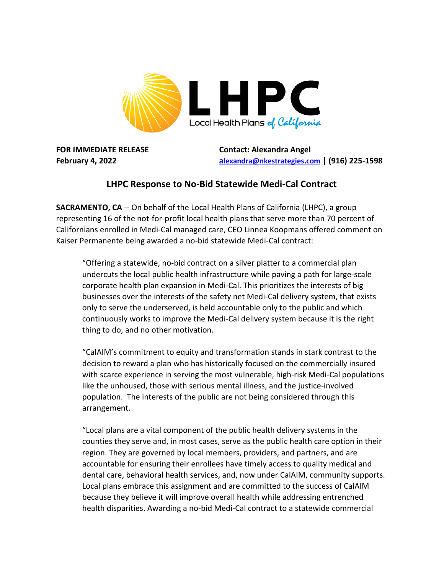

**FOR IMMEDIATE RELEASE February 4, 2022**

**Contact: Alexandra Angel [alexandra@nkestrategies.com](mailto:alexandra@nkestrategies.com) | (916) 225-1598**

## **LHPC Response to No-Bid Statewide Medi-Cal Contract**

**SACRAMENTO, CA** -- On behalf of the Local Health Plans of California (LHPC), a group representing 16 of the not-for-profit local health plans that serve more than 70 percent of Californians enrolled in Medi-Cal managed care, CEO Linnea Koopmans offered comment on Kaiser Permanente being awarded a no-bid statewide Medi-Cal contract:

"Offering a statewide, no-bid contract on a silver platter to a commercial plan undercuts the local public health infrastructure while paving a path for large-scale corporate health plan expansion in Medi-Cal. This prioritizes the interests of big businesses over the interests of the safety net Medi-Cal delivery system, that exists only to serve the underserved, is held accountable only to the public and which continuously works to improve the Medi-Cal delivery system because it is the right thing to do, and no other motivation.

"CalAIM's commitment to equity and transformation stands in stark contrast to the decision to reward a plan who has historically focused on the commercially insured with scarce experience in serving the most vulnerable, high-risk Medi-Cal populations like the unhoused, those with serious mental illness, and the justice-involved population. The interests of the public are not being considered through this arrangement.

"Local plans are a vital component of the public health delivery systems in the counties they serve and, in most cases, serve as the public health care option in their region. They are governed by local members, providers, and partners, and are accountable for ensuring their enrollees have timely access to quality medical and dental care, behavioral health services, and, now under CalAIM, community supports. Local plans embrace this assignment and are committed to the success of CalAIM because they believe it will improve overall health while addressing entrenched health disparities. Awarding a no-bid Medi-Cal contract to a statewide commercial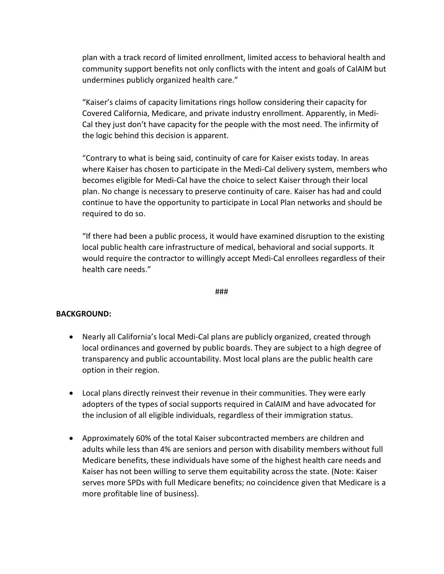plan with a track record of limited enrollment, limited access to behavioral health and community support benefits not only conflicts with the intent and goals of CalAIM but undermines publicly organized health care."

"Kaiser's claims of capacity limitations rings hollow considering their capacity for Covered California, Medicare, and private industry enrollment. Apparently, in Medi-Cal they just don't have capacity for the people with the most need. The infirmity of the logic behind this decision is apparent.

"Contrary to what is being said, continuity of care for Kaiser exists today. In areas where Kaiser has chosen to participate in the Medi-Cal delivery system, members who becomes eligible for Medi-Cal have the choice to select Kaiser through their local plan. No change is necessary to preserve continuity of care. Kaiser has had and could continue to have the opportunity to participate in Local Plan networks and should be required to do so.

"If there had been a public process, it would have examined disruption to the existing local public health care infrastructure of medical, behavioral and social supports. It would require the contractor to willingly accept Medi-Cal enrollees regardless of their health care needs."

###

## **BACKGROUND:**

- Nearly all California's local Medi-Cal plans are publicly organized, created through local ordinances and governed by public boards. They are subject to a high degree of transparency and public accountability. Most local plans are the public health care option in their region.
- Local plans directly reinvest their revenue in their communities. They were early adopters of the types of social supports required in CalAIM and have advocated for the inclusion of all eligible individuals, regardless of their immigration status.
- Approximately 60% of the total Kaiser subcontracted members are children and adults while less than 4% are seniors and person with disability members without full Medicare benefits, these individuals have some of the highest health care needs and Kaiser has not been willing to serve them equitability across the state. (Note: Kaiser serves more SPDs with full Medicare benefits; no coincidence given that Medicare is a more profitable line of business).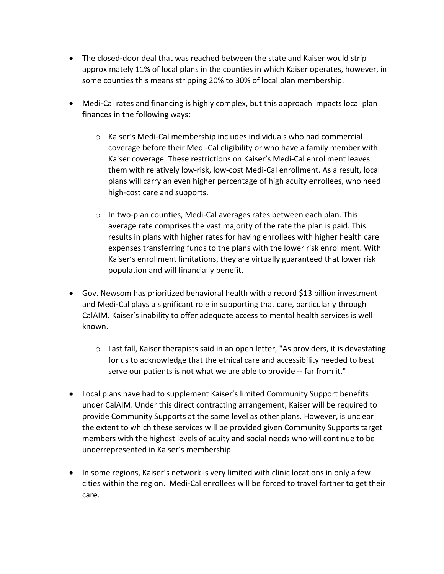- The closed-door deal that was reached between the state and Kaiser would strip approximately 11% of local plans in the counties in which Kaiser operates, however, in some counties this means stripping 20% to 30% of local plan membership.
- Medi-Cal rates and financing is highly complex, but this approach impacts local plan finances in the following ways:
	- o Kaiser's Medi-Cal membership includes individuals who had commercial coverage before their Medi-Cal eligibility or who have a family member with Kaiser coverage. These restrictions on Kaiser's Medi-Cal enrollment leaves them with relatively low-risk, low-cost Medi-Cal enrollment. As a result, local plans will carry an even higher percentage of high acuity enrollees, who need high-cost care and supports.
	- o In two-plan counties, Medi-Cal averages rates between each plan. This average rate comprises the vast majority of the rate the plan is paid. This results in plans with higher rates for having enrollees with higher health care expenses transferring funds to the plans with the lower risk enrollment. With Kaiser's enrollment limitations, they are virtually guaranteed that lower risk population and will financially benefit.
- Gov. Newsom has prioritized behavioral health with a record \$13 billion investment and Medi-Cal plays a significant role in supporting that care, particularly through CalAIM. Kaiser's inability to offer adequate access to mental health services is well known.
	- o Last fall, Kaiser therapists said in an open letter, "As providers, it is devastating for us to acknowledge that the ethical care and accessibility needed to best serve our patients is not what we are able to provide -- far from it."
- Local plans have had to supplement Kaiser's limited Community Support benefits under CalAIM. Under this direct contracting arrangement, Kaiser will be required to provide Community Supports at the same level as other plans. However, is unclear the extent to which these services will be provided given Community Supports target members with the highest levels of acuity and social needs who will continue to be underrepresented in Kaiser's membership.
- In some regions, Kaiser's network is very limited with clinic locations in only a few cities within the region. Medi-Cal enrollees will be forced to travel farther to get their care.